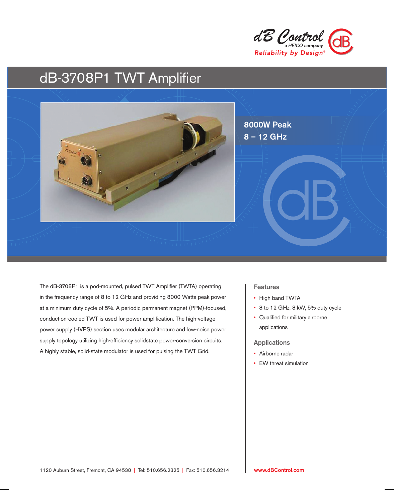

# dB-3708P1 TWT Amplifier



The dB-3708P1 is a pod-mounted, pulsed TWT Amplifier (TWTA) operating in the frequency range of 8 to 12 GHz and providing 8000 Watts peak power at a minimum duty cycle of 5%. A periodic permanent magnet (PPM)-focused, conduction-cooled TWT is used for power amplification. The high-voltage power supply (HVPS) section uses modular architecture and low-noise power supply topology utilizing high-efficiency solidstate power-conversion circuits. A highly stable, solid-state modulator is used for pulsing the TWT Grid.

### Features

- High band TWTA
- 8 to 12 GHz, 8 kW, 5% duty cycle
- Qualified for military airborne applications

### Applications

- Airborne radar
- EW threat simulation